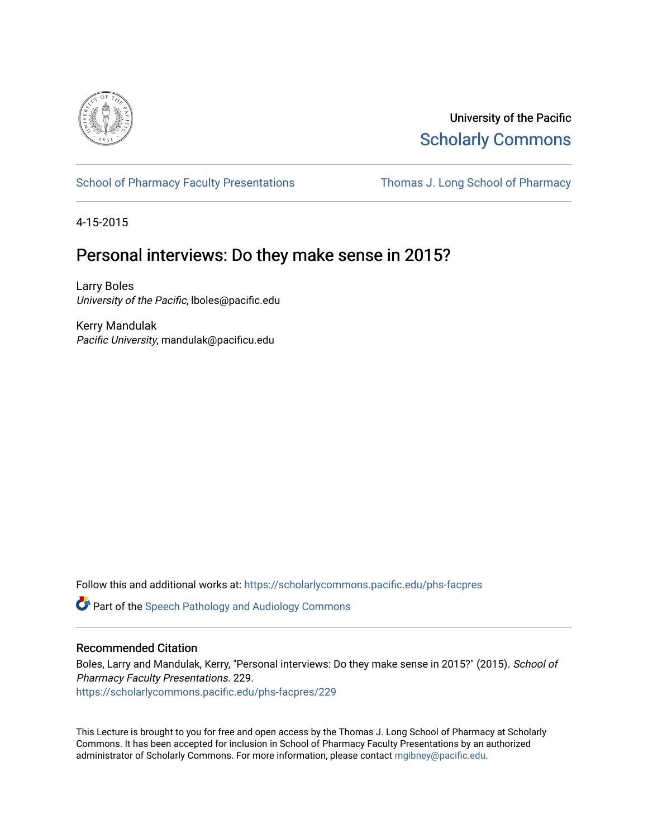

University of the Pacific [Scholarly Commons](https://scholarlycommons.pacific.edu/) 

[School of Pharmacy Faculty Presentations](https://scholarlycommons.pacific.edu/phs-facpres) Thomas J. Long School of Pharmacy

4-15-2015

# Personal interviews: Do they make sense in 2015?

Larry Boles University of the Pacific, lboles@pacific.edu

Kerry Mandulak Pacific University, mandulak@pacificu.edu

Follow this and additional works at: [https://scholarlycommons.pacific.edu/phs-facpres](https://scholarlycommons.pacific.edu/phs-facpres?utm_source=scholarlycommons.pacific.edu%2Fphs-facpres%2F229&utm_medium=PDF&utm_campaign=PDFCoverPages) 

**C** Part of the Speech Pathology and Audiology Commons

#### Recommended Citation

Boles, Larry and Mandulak, Kerry, "Personal interviews: Do they make sense in 2015?" (2015). School of Pharmacy Faculty Presentations. 229. [https://scholarlycommons.pacific.edu/phs-facpres/229](https://scholarlycommons.pacific.edu/phs-facpres/229?utm_source=scholarlycommons.pacific.edu%2Fphs-facpres%2F229&utm_medium=PDF&utm_campaign=PDFCoverPages) 

This Lecture is brought to you for free and open access by the Thomas J. Long School of Pharmacy at Scholarly Commons. It has been accepted for inclusion in School of Pharmacy Faculty Presentations by an authorized administrator of Scholarly Commons. For more information, please contact [mgibney@pacific.edu.](mailto:mgibney@pacific.edu)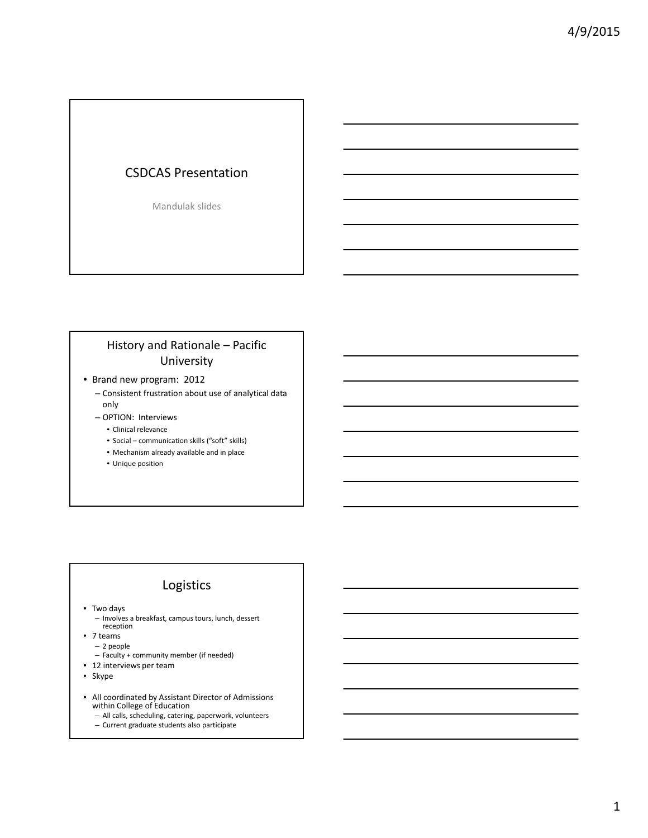#### CSDCAS Presentation

Mandulak slides

## History and Rationale – Pacific University

- Brand new program: 2012
	- Consistent frustration about use of analytical data only
	- OPTION: Interviews
		- Clinical relevance
		- Social communication skills ("soft" skills)
		- Mechanism already available and in place
		- Unique position

#### Logistics

• Two days

– Involves a breakfast, campus tours, lunch, dessert reception

- 7 teams
	- 2 people
	- Faculty + community member (if needed)
- 12 interviews per team
- Skype
- All coordinated by Assistant Director of Admissions within College of Education
	- All calls, scheduling, catering, paperwork, volunteers
	- Current graduate students also participate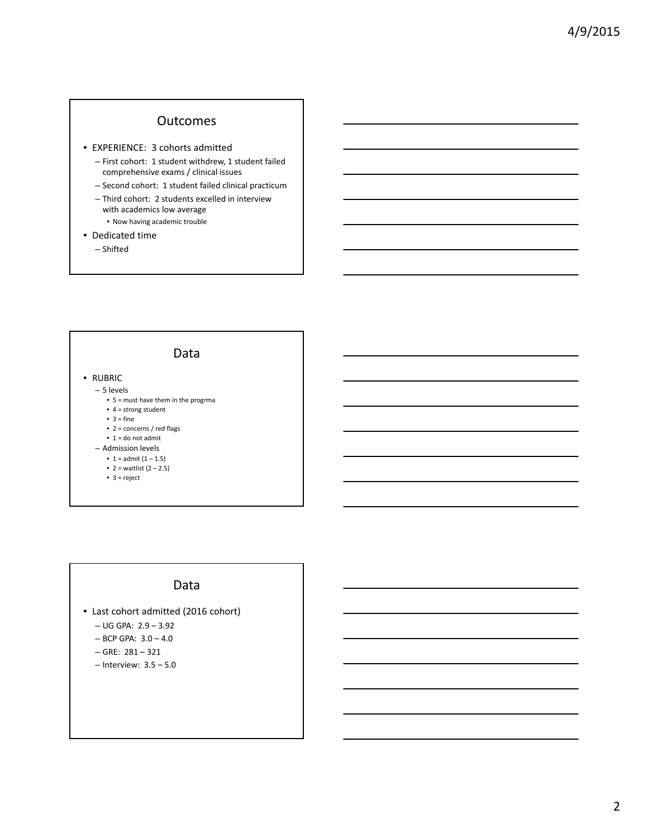#### **Outcomes**

- EXPERIENCE: 3 cohorts admitted
	- First cohort: 1 student withdrew, 1 student failed comprehensive exams / clinical issues
	- Second cohort: 1 student failed clinical practicum
	- Third cohort: 2 students excelled in interview with academics low average
	- Now having academic trouble
- Dedicated time
	- Shifted



#### Data

- Last cohort admitted (2016 cohort)
	- UG GPA: 2.9 3.92
	- BCP GPA: 3.0 4.0
	- $-$  GRE:  $281 321$
	- Interview: 3.5 5.0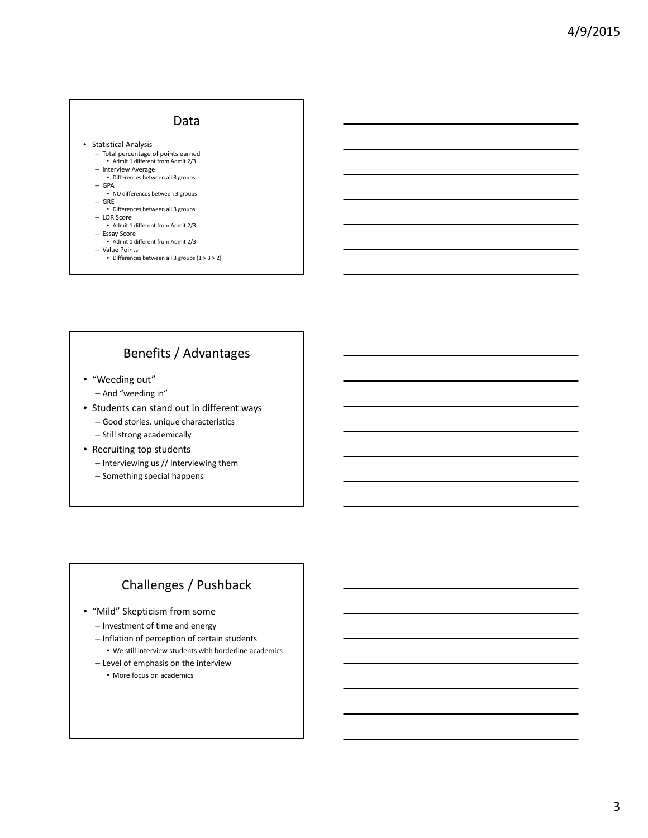#### Data

• Statistical Analysis

- Total percentage of points earned • Admit 1 different from Admit 2/3
- Interview Average • Differences between all 3 groups
- GPA
- NO differences between 3 groups – GRE
- Differences between all 3 groups – LOR Score
- Admit 1 different from Admit 2/3
- Essay Score Admit 1 different from Admit 2/3
- Value Points
	- Differences between all 3 groups (1 > 3 > 2)

### Benefits / Advantages

- "Weeding out"
	- And "weeding in"
- Students can stand out in different ways
	- Good stories, unique characteristics
	- Still strong academically
- Recruiting top students
	- Interviewing us // interviewing them
	- Something special happens

# Challenges / Pushback

- "Mild" Skepticism from some
	- Investment of time and energy
	- Inflation of perception of certain students • We still interview students with borderline academics
	- Level of emphasis on the interview
		- More focus on academics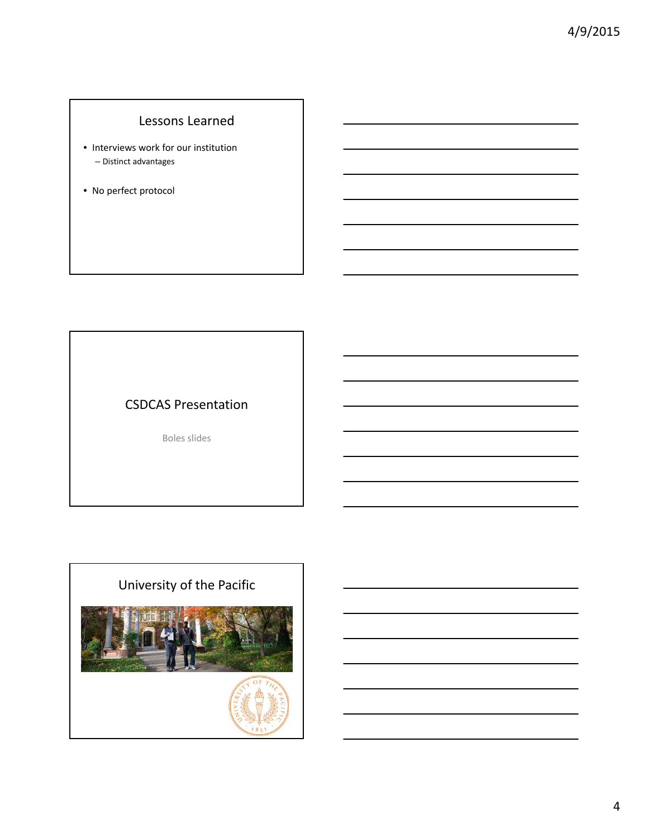# Lessons Learned

- Interviews work for our institution – Distinct advantages
- No perfect protocol

# CSDCAS Presentation

Boles slides

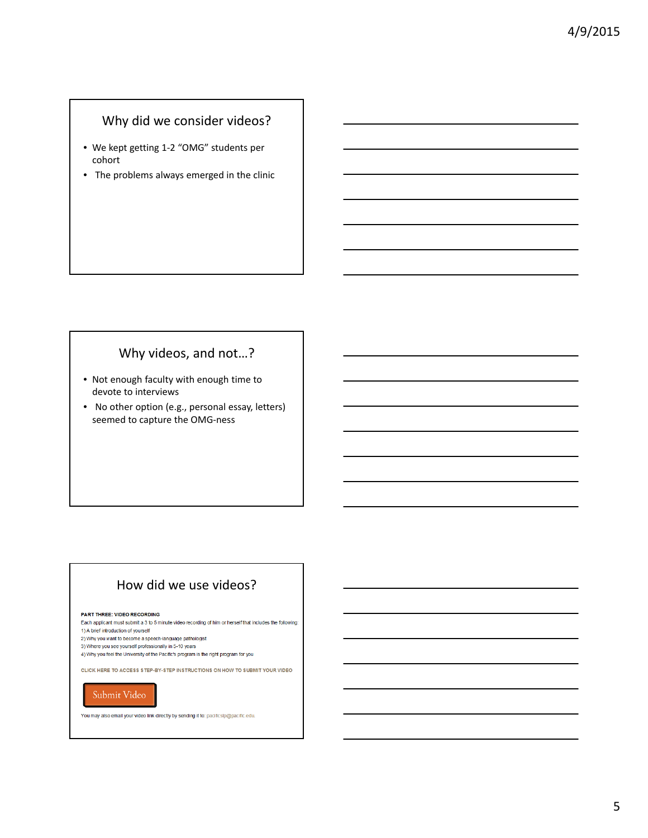# Why did we consider videos?

- We kept getting 1‐2 "OMG" students per cohort
- The problems always emerged in the clinic

### Why videos, and not…?

- Not enough faculty with enough time to devote to interviews
- No other option (e.g., personal essay, letters) seemed to capture the OMG‐ness

# How did we use videos?

#### PART THREE: VIDEO RECORDING

Each applicant must submit a 3 to 5 minute video recording of him or herself that includes the following:

- 1) A brief introduction of yourself
- 2) Why you want to become a speech-language pathologist
- 3) Where you see yourself professionally in 5-10 years
- 4) Why you feel the University of the Pacific's program is the right program for you

CLICK HERE TO ACCESS STEP-BY-STEP INSTRUCTIONS ON HOW TO SUBMIT YOUR VIDEO

#### Submit Video

You may also email your video link directly by sending it to: pacificsip@pacific.edu.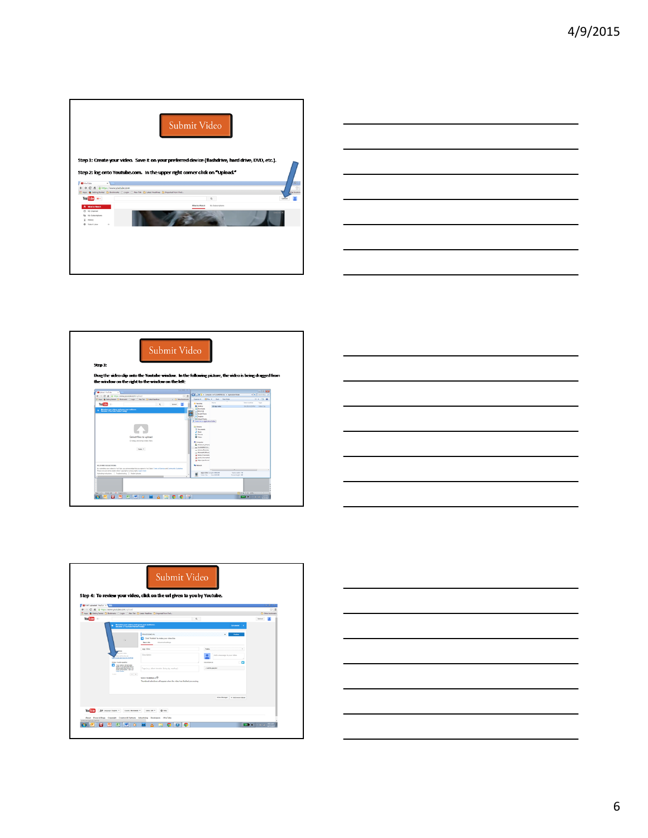









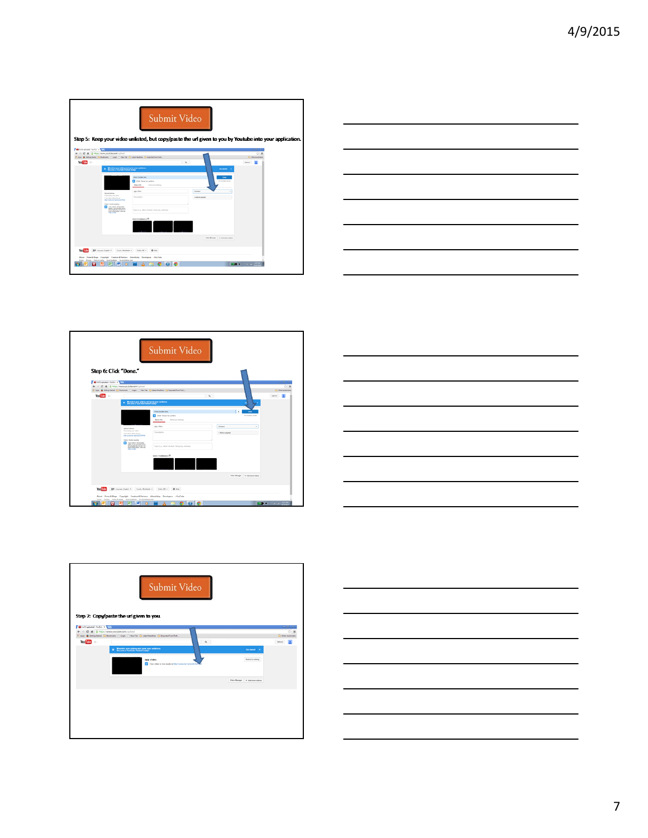|                                         |                                                                                                                                                                                                                                                                               | Submit Video                                                                                                                                                                      |                                                                                   | Step 5: Keep your video unlisted, but copy/paste the url given to you by Youtube into your application. |
|-----------------------------------------|-------------------------------------------------------------------------------------------------------------------------------------------------------------------------------------------------------------------------------------------------------------------------------|-----------------------------------------------------------------------------------------------------------------------------------------------------------------------------------|-----------------------------------------------------------------------------------|---------------------------------------------------------------------------------------------------------|
| <b>Distinguished</b> - Newford of North | + + C 6 B http://www.joutube.com/upload                                                                                                                                                                                                                                       | TT Apps & Getting Started CT Bookmarks (1) Legin (1) New Teb CT Least Headlines CT Imported From First.                                                                           |                                                                                   | $-121$<br>$\circ$ =<br>C Other bookmarks                                                                |
| $You find = -$                          | Moneties your videos and grow your audience<br>Decome a YouTube Partner today!<br>Upfoad #bitum<br>Processing your video.<br>Your video will be live at:<br><b>Mix Prints be had controls</b><br>Video / Audio quality<br>The colors of poores<br>more information, visit our | PROCESSING MPL<br>Click 'Done' to confirm.<br>Advanced settings<br>Busic info<br>app video<br>Description<br>Tags (e.g., albert einstein, flying pig, mashup)<br>VOED THUMBAALS O | $Q_{\perp}$<br>Unitated<br>. Add to playfie!<br>Video Munager = # Add more videos | E.<br><b>United</b><br><b>Call aborted 100</b><br><b>September</b><br>All changes saved<br>$\sim$       |
| You Tube<br><b>a</b>                    | 80 Leguar Explor * County Motherix * Linky Of * 0 Nos<br>Terms Privacy Policy & Selviy Send Instituck Try something new<br>图<br><b>IP</b>                                                                                                                                     | About Press-&-Blogs Copyright Creators-&-Partners Advertising Developers . YouTube                                                                                                |                                                                                   |                                                                                                         |



| Step 6: Click "Done."                                                                                        |                                                                                                                                                                                                                                                                      | Submit Video                                                                                                                                       |                                               |                                     |
|--------------------------------------------------------------------------------------------------------------|----------------------------------------------------------------------------------------------------------------------------------------------------------------------------------------------------------------------------------------------------------------------|----------------------------------------------------------------------------------------------------------------------------------------------------|-----------------------------------------------|-------------------------------------|
| <b>Distinguished</b> Variable X<br>$\leftarrow$ $\rightarrow$ $C$ $\land$ $B$ https://www.soutube.com/upload |                                                                                                                                                                                                                                                                      |                                                                                                                                                    |                                               | $-10$<br>$\circ$ =                  |
| You Tube $= -$                                                                                               |                                                                                                                                                                                                                                                                      | 11 Apr & Getting Stated (2) Bookmarks (1) Legin (2) New Tab (2) Letext Hoadlines (2) Deported From Ford<br>$\mathbb Q$                             |                                               | Cli Other bookmarks<br><b>Value</b> |
|                                                                                                              | Upload winter:<br>Processing your votes.<br>Your sides will be five at:<br><b>My Jyoutu be 1pDyOCZHPOE</b><br>Video / Audio quality:<br>Your videos will process<br>fastes if you securite etha a<br>streamatile file farmat. For<br>п<br>more information, yied our | <b>Basic info</b><br>Advanced settings<br>app video<br>Description<br>Tags (e.g., albert einstein, flying pig, mashup)<br><b>VIDEO THUMBAALS O</b> | <b>United</b><br>$\cdot$<br>. Add to playfiel |                                     |
|                                                                                                              |                                                                                                                                                                                                                                                                      |                                                                                                                                                    | Video Manager + Add more videos               |                                     |
| You Tribe                                                                                                    | 10 Leguar Explor .<br>Country Worldwide #<br>About Press & Blogs Copyright Creators & Partners Advertising Developers . YouTube                                                                                                                                      | 0 m <sub>9</sub><br>Sylvice v                                                                                                                      |                                               |                                     |